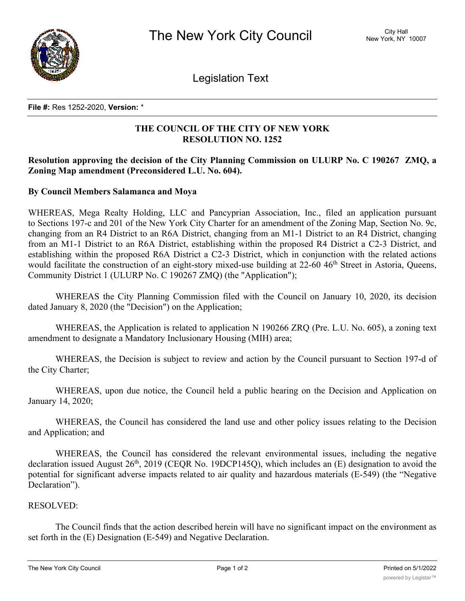

Legislation Text

#### **File #:** Res 1252-2020, **Version:** \*

# **THE COUNCIL OF THE CITY OF NEW YORK RESOLUTION NO. 1252**

# **Resolution approving the decision of the City Planning Commission on ULURP No. C 190267 ZMQ, a Zoning Map amendment (Preconsidered L.U. No. 604).**

## **By Council Members Salamanca and Moya**

WHEREAS, Mega Realty Holding, LLC and Pancyprian Association, Inc., filed an application pursuant to Sections 197-c and 201 of the New York City Charter for an amendment of the Zoning Map, Section No. 9c, changing from an R4 District to an R6A District, changing from an M1-1 District to an R4 District, changing from an M1-1 District to an R6A District, establishing within the proposed R4 District a C2-3 District, and establishing within the proposed R6A District a C2-3 District, which in conjunction with the related actions would facilitate the construction of an eight-story mixed-use building at 22-60 46<sup>th</sup> Street in Astoria, Queens, Community District 1 (ULURP No. C 190267 ZMQ) (the "Application");

WHEREAS the City Planning Commission filed with the Council on January 10, 2020, its decision dated January 8, 2020 (the "Decision") on the Application;

WHEREAS, the Application is related to application N 190266 ZRQ (Pre. L.U. No. 605), a zoning text amendment to designate a Mandatory Inclusionary Housing (MIH) area;

WHEREAS, the Decision is subject to review and action by the Council pursuant to Section 197-d of the City Charter;

WHEREAS, upon due notice, the Council held a public hearing on the Decision and Application on January 14, 2020;

WHEREAS, the Council has considered the land use and other policy issues relating to the Decision and Application; and

WHEREAS, the Council has considered the relevant environmental issues, including the negative declaration issued August  $26<sup>th</sup>$ ,  $2019$  (CEOR No. 19DCP145O), which includes an (E) designation to avoid the potential for significant adverse impacts related to air quality and hazardous materials (E-549) (the "Negative Declaration").

## RESOLVED:

The Council finds that the action described herein will have no significant impact on the environment as set forth in the (E) Designation (E-549) and Negative Declaration.

Pursuant to Sections 197-d and 200 of the City Charter and on the basis of the Decision and